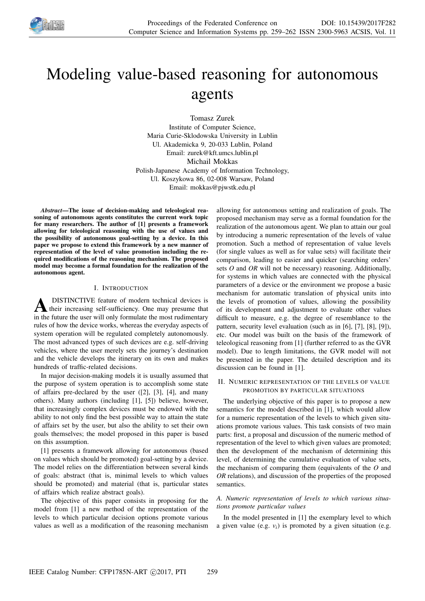

# Modeling value-based reasoning for autonomous agents

Tomasz Zurek Institute of Computer Science, Maria Curie-Sklodowska University in Lublin Ul. Akademicka 9, 20-033 Lublin, Poland Email: zurek@kft.umcs.lublin.pl Michail Mokkas Polish-Japanese Academy of Information Technology, Ul. Koszykowa 86, 02-008 Warsaw, Poland Email: mokkas@pjwstk.edu.pl

*Abstract*—The issue of decision-making and teleological reasoning of autonomous agents constitutes the current work topic for many researchers. The author of [1] presents a framework allowing for teleological reasoning with the use of values and the possibility of autonomous goal-setting by a device. In this paper we propose to extend this framework by a new manner of representation of the level of value promotion including the required modifications of the reasoning mechanism. The proposed model may become a formal foundation for the realization of the autonomous agent.

## I. INTRODUCTION

**A** DISTINCTIVE feature of modern technical devices is their increasing self-sufficiency. One may presume that in the future the user will only formulate the most rudimentary DISTINCTIVE feature of modern technical devices is their increasing self-sufficiency. One may presume that rules of how the device works, whereas the everyday aspects of system operation will be regulated completely autonomously. The most advanced types of such devices are e.g. self-driving vehicles, where the user merely sets the journey's destination and the vehicle develops the itinerary on its own and makes hundreds of traffic-related decisions.

In major decision-making models it is usually assumed that the purpose of system operation is to accomplish some state of affairs pre-declared by the user ([2], [3], [4], and many others). Many authors (including [1], [5]) believe, however, that increasingly complex devices must be endowed with the ability to not only find the best possible way to attain the state of affairs set by the user, but also the ability to set their own goals themselves; the model proposed in this paper is based on this assumption.

[1] presents a framework allowing for autonomous (based on values which should be promoted) goal-setting by a device. The model relies on the differentiation between several kinds of goals: abstract (that is, minimal levels to which values should be promoted) and material (that is, particular states of affairs which realize abstract goals).

The objective of this paper consists in proposing for the model from [1] a new method of the representation of the levels to which particular decision options promote various values as well as a modification of the reasoning mechanism allowing for autonomous setting and realization of goals. The proposed mechanism may serve as a formal foundation for the realization of the autonomous agent. We plan to attain our goal by introducing a numeric representation of the levels of value promotion. Such a method of representation of value levels (for single values as well as for value sets) will facilitate their comparison, leading to easier and quicker (searching orders' sets *O* and *OR* will not be necessary) reasoning. Additionally, for systems in which values are connected with the physical parameters of a device or the environment we propose a basic mechanism for automatic translation of physical units into the levels of promotion of values, allowing the possibility of its development and adjustment to evaluate other values difficult to measure, e.g. the degree of resemblance to the pattern, security level evaluation (such as in [6], [7], [8], [9]), etc. Our model was built on the basis of the framework of teleological reasoning from [1] (further referred to as the GVR model). Due to length limitations, the GVR model will not be presented in the paper. The detailed description and its discussion can be found in [1].

## II. NUMERIC REPRESENTATION OF THE LEVELS OF VALUE PROMOTION BY PARTICULAR SITUATIONS

The underlying objective of this paper is to propose a new semantics for the model described in [1], which would allow for a numeric representation of the levels to which given situations promote various values. This task consists of two main parts: first, a proposal and discussion of the numeric method of representation of the level to which given values are promoted; then the development of the mechanism of determining this level, of determining the cumulative evaluation of value sets, the mechanism of comparing them (equivalents of the *O* and *OR* relations), and discussion of the properties of the proposed semantics.

## *A. Numeric representation of levels to which various situations promote particular values*

In the model presented in [1] the exemplary level to which a given value (e.g.  $v_i$ ) is promoted by a given situation (e.g.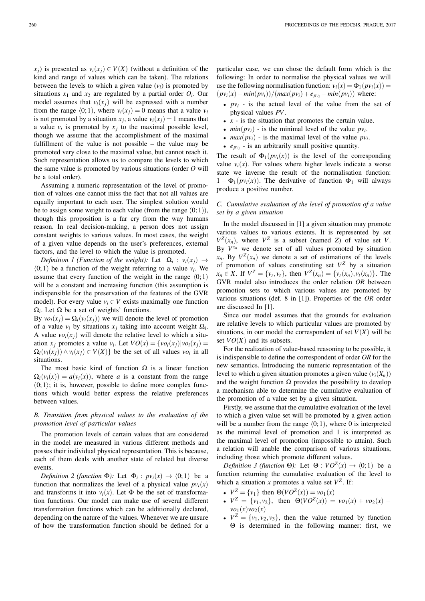*x*<sub>*j*</sub>) is presented as  $v_i(x_i) \in V(X)$  (without a definition of the kind and range of values which can be taken). The relations between the levels to which a given value  $(v_i)$  is promoted by situations  $x_1$  and  $x_2$  are regulated by a partial order  $O_i$ . Our model assumes that  $v_i(x_i)$  will be expressed with a number from the range  $\langle 0; 1 \rangle$ , where  $v_i(x_j) = 0$  means that a value  $v_i$ is not promoted by a situation  $x_j$ , a value  $v_i(x_j) = 1$  means that a value  $v_i$  is promoted by  $x_j$  to the maximal possible level, though we assume that the accomplishment of the maximal fulfillment of the value is not possible – the value may be promoted very close to the maximal value, but cannot reach it. Such representation allows us to compare the levels to which the same value is promoted by various situations (order *O* will be a total order).

Assuming a numeric representation of the level of promotion of values one cannot miss the fact that not all values are equally important to each user. The simplest solution would be to assign some weight to each value (from the range  $(0, 1)$ ), though this proposition is a far cry from the way humans reason. In real decision-making, a person does not assign constant weights to various values. In most cases, the weight of a given value depends on the user's preferences, external factors, and the level to which the value is promoted.

*Definition 1 (Function of the weight):* Let  $\Omega_i : v_i(x_j) \to$  $(0; 1)$  be a function of the weight referring to a value  $v_i$ . We assume that every function of the weight in the range  $(0; 1)$ will be a constant and increasing function (this assumption is indispensible for the preservation of the features of the GVR model). For every value  $v_i \in V$  exists maximally one function  $\Omega_i$ . Let  $\Omega$  be a set of weights' functions.

By  $vo_i(x_i) = \Omega_i(v_i(x_i))$  we will denote the level of promotion of a value  $v_i$  by situations  $x_j$  taking into account weight  $\Omega_i$ . A value  $vo_i(x_j)$  will denote the relative level to which a situation  $x_j$  promotes a value  $v_i$ . Let  $VO(x) = \{vo_i(x_j)|vo_i(x_j) =$  $\Omega_i(v_i(x_j)) \wedge v_i(x_j) \in V(X)$ } be the set of all values  $vo_i$  in all situations.

The most basic kind of function  $\Omega$  is a linear function  $\Omega_i(v_i(x)) = a(v_i(x))$ , where *a* is a constant from the range  $(0; 1)$ ; it is, however, possible to define more complex functions which would better express the relative preferences between values.

# *B. Transition from physical values to the evaluation of the promotion level of particular values*

The promotion levels of certain values that are considered in the model are measured in various different methods and posses their individual physical representation. This is because, each of them deals with another state of related but diverse events.

*Definition* 2 (function  $\Phi$ ): Let  $\Phi_i$ :  $pv_i(x) \rightarrow (0; 1)$  be a function that normalizes the level of a physical value  $pv_i(x)$ and transforms it into  $v_i(x)$ . Let  $\Phi$  be the set of transformation functions. Our model can make use of several different transformation functions which can be additionally declared, depending on the nature of the values. Whenever we are unsure of how the transformation function should be defined for a particular case, we can chose the default form which is the following: In order to normalise the physical values we will use the following normalisation function:  $v_i(x) = \Phi_1(pv_i(x)) =$  $(pv_i(x) - min(pv_i))/(max(pv_i) + e_{pv_i} - min(pv_i))$  where:

- $pv_i$  is the actual level of the value from the set of physical values *PV*.
- *x* is the situation that promotes the certain value.
- $min(pv_i)$  is the minimal level of the value  $pv_i$ .
- $max(pv_i)$  is the maximal level of the value  $pv_i$ .
- $e_{pv_i}$  is an arbitrarily small positive quantity.

The result of  $\Phi_1(pv_i(x))$  is the level of the corresponding value  $v_i(x)$ . For values where higher levels indicate a worse state we inverse the result of the normalisation function:  $1 - \Phi_1(pv_i(x))$ . The derivative of function  $\Phi_1$  will always produce a positive number.

## *C. Cumulative evaluation of the level of promotion of a value set by a given situation*

In the model discussed in [1] a given situation may promote various values to various extents. It is represented by set  $V^Z(x_n)$ , where  $V^Z$  is a subset (named *Z*) of value set *V*. By  $V^{x_n}$  we denote set of all values promoted by situation  $x_n$ . By  $V^Z(x_n)$  we denote a set of estimations of the levels of promotion of values constituting set  $V^Z$  by a situation  $x_n \in X$ . If  $V^Z = \{v_z, v_t\}$ , then  $V^Z(x_n) = \{v_z(x_n), v_t(x_n)\}$ . The GVR model also introduces the order relation *OR* between promotion sets to which various values are promoted by various situations (def. 8 in [1]). Properties of the *OR* order are discussed In [1].

Since our model assumes that the grounds for evaluation are relative levels to which particular values are promoted by situations, in our model the correspondent of set  $V(X)$  will be set  $VO(X)$  and its subsets.

For the realization of value-based reasoning to be possible, it is indispensible to define the correspondent of order *OR* for the new semantics. Introducing the numeric representation of the level to which a given situation promotes a given value  $(v_i(X_n))$ and the weight function  $\Omega$  provides the possibility to develop a mechanism able to determine the cumulative evaluation of the promotion of a value set by a given situation.

Firstly, we assume that the cumulative evaluation of the level to which a given value set will be promoted by a given action will be a number from the range  $(0; 1)$ , where 0 is interpreted as the minimal level of promotion and 1 is interpreted as the maximal level of promotion (impossible to attain). Such a relation will anable the comparison of various situations, including those which promote different values.

*Definition 3 (function*  $\Theta$ ): Let  $\Theta : VO^{\mathbb{Z}}(x) \to \langle 0; 1 \rangle$  be a function returning the cumulative evaluation of the level to which a situation *x* promotes a value set  $V^Z$ . If:

- $V^Z = \{v_1\}$  then  $\Theta(VO^Z(x)) = v o_1(x)$
- $V^Z = \{v_1, v_2\}$ , then  $\Theta(VO^Z(x)) = v o_1(x) + v o_2(x)$  $vo_1(x)vo_2(x)$
- $V^Z = \{v_1, v_2, v_3\}$ , then the value returned by function Θ is determined in the following manner: first, we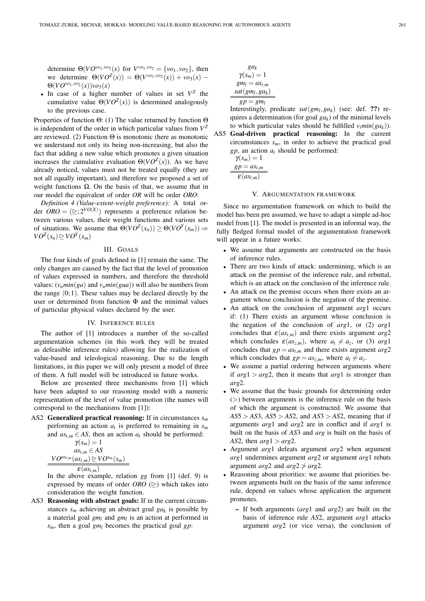determine  $\Theta(VO^{\nu o_1, \nu o_2}(x))$  for  $V^{\nu o_1, \nu o_2} = {\nu o_1, \nu o_2}$ , then we determine  $\Theta(VO^{Z}(x)) = \Theta(V^{vo_1,vo_2}(x)) + vo_3(x) \Theta(VO^{\nu o_1, \nu o_2}(x))\nu o_3(x)$ 

• In case of a higher number of values in set  $V^Z$  the cumulative value  $\Theta(VO^Z(x))$  is determined analogously to the previous case.

Properties of function Θ: (1) The value returned by function Θ is independent of the order in which particular values from  $V^Z$ are reviewed. (2) Function  $\Theta$  is monotonic (here as monotonic we understand not only its being non-increasing, but also the fact that adding a new value which promotes a given situation increases the cumulative evaluation  $\Theta(VO^Z(x))$ . As we have already noticed, values must not be treated equally (they are not all equally important), and therefore we proposed a set of weight functions  $\Omega$ . On the basis of that, we assume that in our model the equivalent of order *OR* will be order *ORO*:

*Definition 4 (Value-extent-weight preference):* A total order  $ORO = (\geq; 2^{VO(X)})$  represents a preference relation between various values, their weight functions and various sets of situations. We assume that  $\Theta(VO^Z(x_n)) \geq \Theta(VO^Y(x_m)) \Rightarrow$  $VO<sup>Z</sup>(x_n) \geq VO<sup>Y</sup>(x_m)$ 

# III. GOALS

The four kinds of goals defined in [1] remain the same. The only changes are caused by the fact that the level of promotion of values expressed in numbers, and therefore the threshold values:  $(v_n min(ga)$  and  $v_n min(gua)$ ) will also be numbers from the range  $(0; 1)$ . These values may be declared directly by the user or determined from function  $\Phi$  and the minimal values of particular physical values declared by the user.

## IV. INFERENCE RULES

The author of [1] introduces a number of the so-called argumentation schemes (in this work they will be treated as defeasible inference rules) allowing for the realization of value-based and teleological reasoning. Due to the length limitations, in this paper we will only present a model of three of them. A full model will be introduced in future works.

Below are presented three mechanisms from [1] which have been adapted to our reasoning model with a numeric representation of the level of value promotion (the names will correspond to the mechanisms from [1]):

AS2 Generalized practical reasoning: If in circumstances *s<sup>m</sup>* performing an action *a<sup>t</sup>* is preferred to remaining in *s<sup>m</sup>* and  $as_{t,m} \in AS$ , then an action  $a_t$  should be performed:

$$
\gamma(s_m) = 1
$$
  
\n
$$
as_{t,m} \in AS
$$
  
\n
$$
\frac{VO^{as_{t,m}}(as_{t,m}) \triangleright\text{VO}^{s_m}(s_m)}{\varepsilon(as_{t,m})}
$$

In the above example, relation *gg* from [1] (def. 9) is expressed by means of order *ORO*  $(\geq)$  which takes into consideration the weight function.

AS3 Reasoning with abstract goals: If in the current circumstances  $s_m$  achieving an abstract goal  $ga_k$  is possible by a material goal *gm<sup>l</sup>* and *gm<sup>l</sup>* is an action at performed in *sm*, then a goal *gm<sup>l</sup>* becomes the practical goal *gp*:

$$
ga_k
$$
  
\n
$$
\gamma(s_m) = 1
$$
  
\n
$$
gm_l = as_{t,m}
$$
  
\n
$$
sat(gm_l, ga_k)
$$
  
\n
$$
gp = gm_l
$$

Interestingly, predicate  $sat(gm_l, ga_k)$  (see: def. ??) requires a determination (for goal *gak*) of the minimal levels to which particular vales should be fulfilled  $v_i min(ga_k)$ ).

AS5 Goal-driven practical reasoning: In the current circumstances *sm*, in order to achieve the practical goal *gp*, an action *a<sup>t</sup>* should be performed:

$$
\gamma(s_m) = 1
$$

$$
\underline{sp = as_{t,m}}
$$

$$
\epsilon(as_{t,m})
$$

### V. ARGUMENTATION FRAMEWORK

Since no argumentation framework on which to build the model has been pre assumed, we have to adapt a simple ad-hoc model from [1]. The model is presented in an informal way, the fully fledged formal model of the argumentation framework will appear in a future works:

- We assume that arguments are constructed on the basis of inference rules.
- There are two kinds of attack: undermining, which is an attack on the premise of the inference rule, and rebuttal, which is an attack on the conclusion of the inference rule.
- An attack on the premise occurs when there exists an argument whose conclusion is the negation of the premise.
- An attack on the conclusion of argument *arg*1 occurs if: (1) There exists an argument whose conclusion is the negation of the conclusion of *arg*1, or (2) *arg*1 concludes that  $\varepsilon(as_{t,m})$  and there exists argument  $arg2$ which concludes  $\varepsilon (as_{z,m})$ , where  $a_t \neq a_z$ , or (3)  $arg1$ concludes that  $gp = as_{t,m}$  and there exists argument  $arg2$ which concludes that  $gp = as_{z,m}$ , where  $a_t \neq a_z$ .
- We assume a partial ordering between arguments where if  $arg1 > arg2$ , then it means that  $arg1$  is stronger than *arg*2.
- We assume that the basic grounds for determining order (>) between arguments is the inference rule on the basis of which the argument is constructed. We assume that *AS*5 > *AS*3, *AS*5 > *AS*2, and *AS*3 > *AS*2, meaning that if arguments *arg*1 and *arg*2 are in conflict and if *arg*1 is built on the basis of *AS*3 and *arg* is built on the basis of *AS*2, then  $arg1 > arg2$ .
- Argument *arg*1 defeats argument *arg*2 when argument *arg*1 undermines argument *arg*2 or argument *arg*1 rebuts argument *arg*2 and  $arg2 \not\geq arg2$ .
- Reasoning about priorities: we assume that priorities between arguments built on the basis of the same inference rule, depend on values whose application the argument promotes.
	- If both arguments (*arg*1 and *arg*2) are built on the basis of inference rule *AS*2, argument *arg*1 attacks argument *arg*2 (or vice versa), the conclusion of